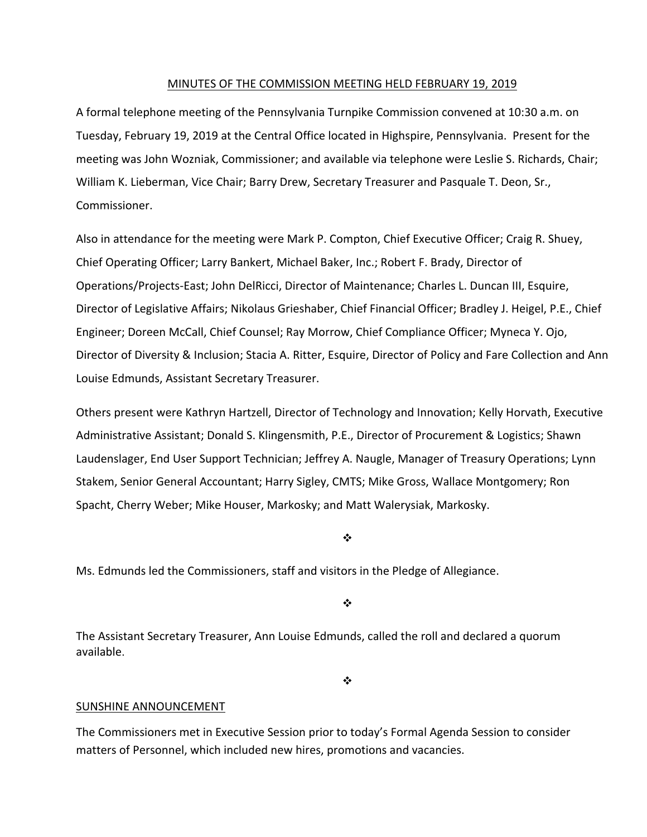#### MINUTES OF THE COMMISSION MEETING HELD FEBRUARY 19, 2019

A formal telephone meeting of the Pennsylvania Turnpike Commission convened at 10:30 a.m. on Tuesday, February 19, 2019 at the Central Office located in Highspire, Pennsylvania. Present for the meeting was John Wozniak, Commissioner; and available via telephone were Leslie S. Richards, Chair; William K. Lieberman, Vice Chair; Barry Drew, Secretary Treasurer and Pasquale T. Deon, Sr., Commissioner.

Also in attendance for the meeting were Mark P. Compton, Chief Executive Officer; Craig R. Shuey, Chief Operating Officer; Larry Bankert, Michael Baker, Inc.; Robert F. Brady, Director of Operations/Projects‐East; John DelRicci, Director of Maintenance; Charles L. Duncan III, Esquire, Director of Legislative Affairs; Nikolaus Grieshaber, Chief Financial Officer; Bradley J. Heigel, P.E., Chief Engineer; Doreen McCall, Chief Counsel; Ray Morrow, Chief Compliance Officer; Myneca Y. Ojo, Director of Diversity & Inclusion; Stacia A. Ritter, Esquire, Director of Policy and Fare Collection and Ann Louise Edmunds, Assistant Secretary Treasurer.

Others present were Kathryn Hartzell, Director of Technology and Innovation; Kelly Horvath, Executive Administrative Assistant; Donald S. Klingensmith, P.E., Director of Procurement & Logistics; Shawn Laudenslager, End User Support Technician; Jeffrey A. Naugle, Manager of Treasury Operations; Lynn Stakem, Senior General Accountant; Harry Sigley, CMTS; Mike Gross, Wallace Montgomery; Ron Spacht, Cherry Weber; Mike Houser, Markosky; and Matt Walerysiak, Markosky.

❖

Ms. Edmunds led the Commissioners, staff and visitors in the Pledge of Allegiance.

 $\frac{1}{2}$ 

The Assistant Secretary Treasurer, Ann Louise Edmunds, called the roll and declared a quorum available.

❖

## SUNSHINE ANNOUNCEMENT

The Commissioners met in Executive Session prior to today's Formal Agenda Session to consider matters of Personnel, which included new hires, promotions and vacancies.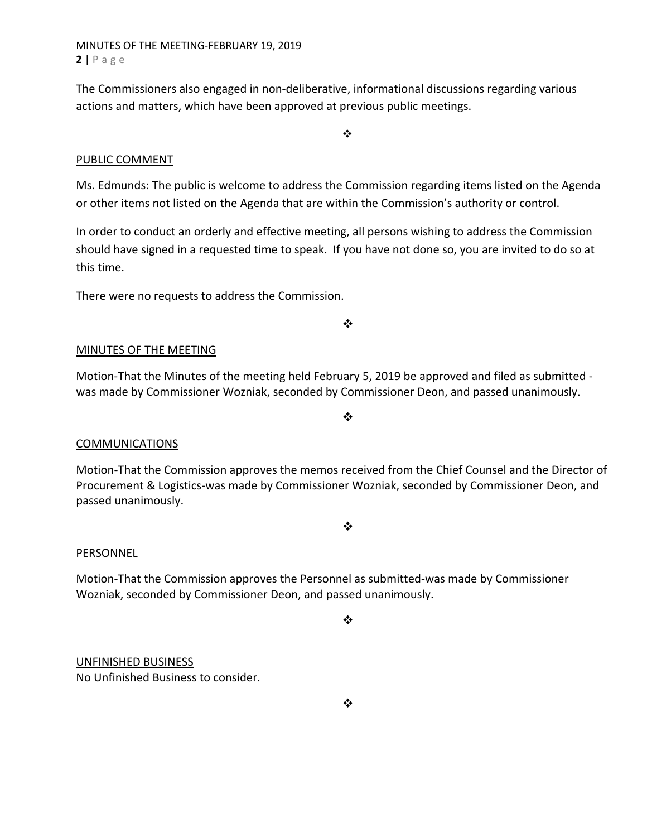MINUTES OF THE MEETING‐FEBRUARY 19, 2019 **2** | Page

The Commissioners also engaged in non‐deliberative, informational discussions regarding various actions and matters, which have been approved at previous public meetings.

#### $\frac{1}{2}$

### PUBLIC COMMENT

Ms. Edmunds: The public is welcome to address the Commission regarding items listed on the Agenda or other items not listed on the Agenda that are within the Commission's authority or control.

In order to conduct an orderly and effective meeting, all persons wishing to address the Commission should have signed in a requested time to speak. If you have not done so, you are invited to do so at this time.

There were no requests to address the Commission.

 $\frac{1}{2}$ 

#### MINUTES OF THE MEETING

Motion-That the Minutes of the meeting held February 5, 2019 be approved and filed as submitted was made by Commissioner Wozniak, seconded by Commissioner Deon, and passed unanimously.

## **COMMUNICATIONS**

Motion‐That the Commission approves the memos received from the Chief Counsel and the Director of Procurement & Logistics‐was made by Commissioner Wozniak, seconded by Commissioner Deon, and passed unanimously.

 $\frac{1}{2}$ 

 $\cdot$ 

#### **PERSONNEL**

Motion‐That the Commission approves the Personnel as submitted‐was made by Commissioner Wozniak, seconded by Commissioner Deon, and passed unanimously.

 $\cdot$ 

# UNFINISHED BUSINESS

No Unfinished Business to consider.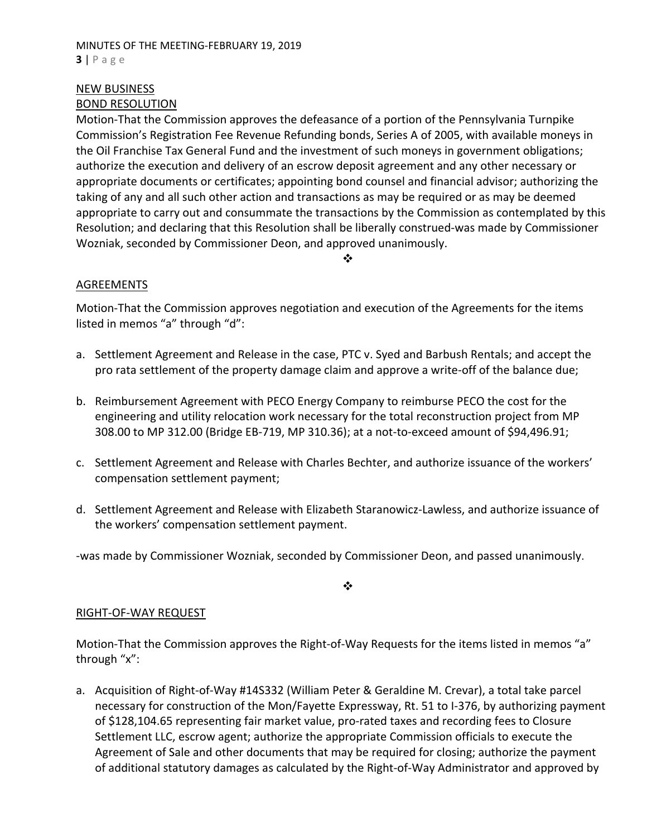### MINUTES OF THE MEETING‐FEBRUARY 19, 2019 **3** | Page

# NEW BUSINESS

# BOND RESOLUTION

Motion‐That the Commission approves the defeasance of a portion of the Pennsylvania Turnpike Commission's Registration Fee Revenue Refunding bonds, Series A of 2005, with available moneys in the Oil Franchise Tax General Fund and the investment of such moneys in government obligations; authorize the execution and delivery of an escrow deposit agreement and any other necessary or appropriate documents or certificates; appointing bond counsel and financial advisor; authorizing the taking of any and all such other action and transactions as may be required or as may be deemed appropriate to carry out and consummate the transactions by the Commission as contemplated by this Resolution; and declaring that this Resolution shall be liberally construed‐was made by Commissioner Wozniak, seconded by Commissioner Deon, and approved unanimously.

#### ❖

# AGREEMENTS

Motion‐That the Commission approves negotiation and execution of the Agreements for the items listed in memos "a" through "d":

- a. Settlement Agreement and Release in the case, PTC v. Syed and Barbush Rentals; and accept the pro rata settlement of the property damage claim and approve a write-off of the balance due;
- b. Reimbursement Agreement with PECO Energy Company to reimburse PECO the cost for the engineering and utility relocation work necessary for the total reconstruction project from MP 308.00 to MP 312.00 (Bridge EB‐719, MP 310.36); at a not‐to‐exceed amount of \$94,496.91;
- c. Settlement Agreement and Release with Charles Bechter, and authorize issuance of the workers' compensation settlement payment;
- d. Settlement Agreement and Release with Elizabeth Staranowicz‐Lawless, and authorize issuance of the workers' compensation settlement payment.

‐was made by Commissioner Wozniak, seconded by Commissioner Deon, and passed unanimously.

 $\frac{1}{2}$ 

## RIGHT‐OF‐WAY REQUEST

Motion-That the Commission approves the Right-of-Way Requests for the items listed in memos "a" through "x":

a. Acquisition of Right‐of‐Way #14S332 (William Peter & Geraldine M. Crevar), a total take parcel necessary for construction of the Mon/Fayette Expressway, Rt. 51 to I‐376, by authorizing payment of \$128,104.65 representing fair market value, pro‐rated taxes and recording fees to Closure Settlement LLC, escrow agent; authorize the appropriate Commission officials to execute the Agreement of Sale and other documents that may be required for closing; authorize the payment of additional statutory damages as calculated by the Right‐of‐Way Administrator and approved by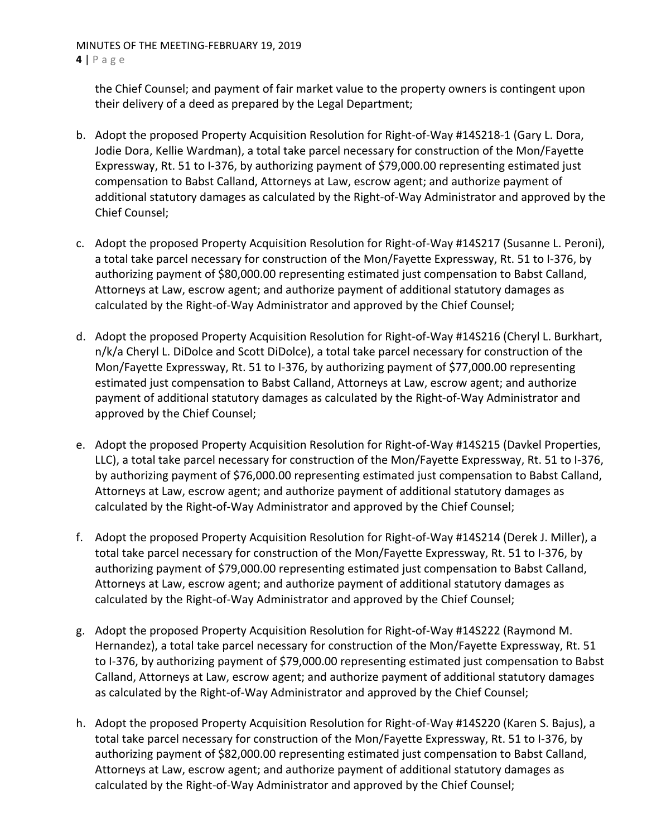MINUTES OF THE MEETING‐FEBRUARY 19, 2019 **4** | Page

the Chief Counsel; and payment of fair market value to the property owners is contingent upon their delivery of a deed as prepared by the Legal Department;

- b. Adopt the proposed Property Acquisition Resolution for Right‐of‐Way #14S218‐1 (Gary L. Dora, Jodie Dora, Kellie Wardman), a total take parcel necessary for construction of the Mon/Fayette Expressway, Rt. 51 to I‐376, by authorizing payment of \$79,000.00 representing estimated just compensation to Babst Calland, Attorneys at Law, escrow agent; and authorize payment of additional statutory damages as calculated by the Right‐of‐Way Administrator and approved by the Chief Counsel;
- c. Adopt the proposed Property Acquisition Resolution for Right‐of‐Way #14S217 (Susanne L. Peroni), a total take parcel necessary for construction of the Mon/Fayette Expressway, Rt. 51 to I‐376, by authorizing payment of \$80,000.00 representing estimated just compensation to Babst Calland, Attorneys at Law, escrow agent; and authorize payment of additional statutory damages as calculated by the Right‐of‐Way Administrator and approved by the Chief Counsel;
- d. Adopt the proposed Property Acquisition Resolution for Right‐of‐Way #14S216 (Cheryl L. Burkhart, n/k/a Cheryl L. DiDolce and Scott DiDolce), a total take parcel necessary for construction of the Mon/Fayette Expressway, Rt. 51 to I‐376, by authorizing payment of \$77,000.00 representing estimated just compensation to Babst Calland, Attorneys at Law, escrow agent; and authorize payment of additional statutory damages as calculated by the Right‐of‐Way Administrator and approved by the Chief Counsel;
- e. Adopt the proposed Property Acquisition Resolution for Right‐of‐Way #14S215 (Davkel Properties, LLC), a total take parcel necessary for construction of the Mon/Fayette Expressway, Rt. 51 to I‐376, by authorizing payment of \$76,000.00 representing estimated just compensation to Babst Calland, Attorneys at Law, escrow agent; and authorize payment of additional statutory damages as calculated by the Right‐of‐Way Administrator and approved by the Chief Counsel;
- f. Adopt the proposed Property Acquisition Resolution for Right‐of‐Way #14S214 (Derek J. Miller), a total take parcel necessary for construction of the Mon/Fayette Expressway, Rt. 51 to I‐376, by authorizing payment of \$79,000.00 representing estimated just compensation to Babst Calland, Attorneys at Law, escrow agent; and authorize payment of additional statutory damages as calculated by the Right‐of‐Way Administrator and approved by the Chief Counsel;
- g. Adopt the proposed Property Acquisition Resolution for Right‐of‐Way #14S222 (Raymond M. Hernandez), a total take parcel necessary for construction of the Mon/Fayette Expressway, Rt. 51 to I‐376, by authorizing payment of \$79,000.00 representing estimated just compensation to Babst Calland, Attorneys at Law, escrow agent; and authorize payment of additional statutory damages as calculated by the Right‐of‐Way Administrator and approved by the Chief Counsel;
- h. Adopt the proposed Property Acquisition Resolution for Right‐of‐Way #14S220 (Karen S. Bajus), a total take parcel necessary for construction of the Mon/Fayette Expressway, Rt. 51 to I‐376, by authorizing payment of \$82,000.00 representing estimated just compensation to Babst Calland, Attorneys at Law, escrow agent; and authorize payment of additional statutory damages as calculated by the Right‐of‐Way Administrator and approved by the Chief Counsel;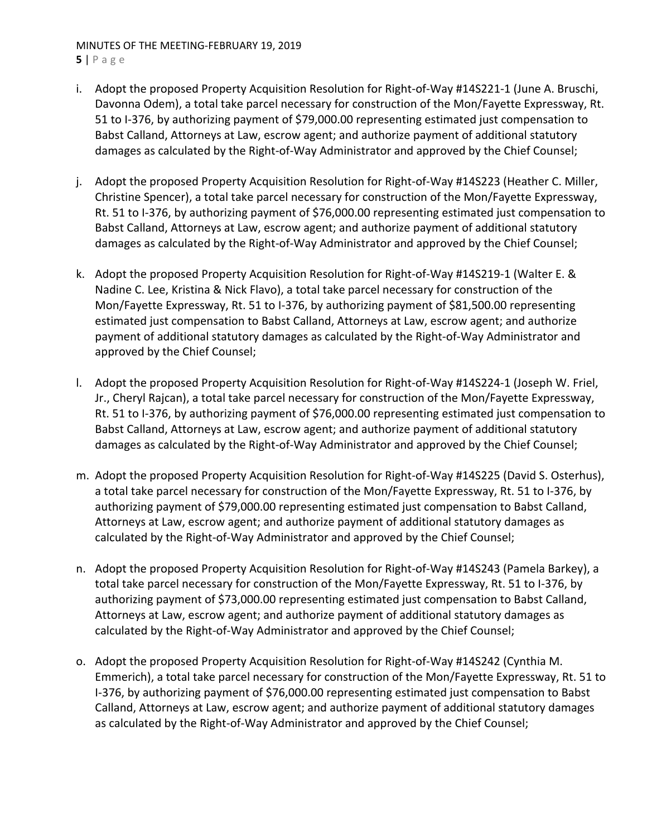### MINUTES OF THE MEETING‐FEBRUARY 19, 2019 **5** | Page

- i. Adopt the proposed Property Acquisition Resolution for Right‐of‐Way #14S221‐1 (June A. Bruschi, Davonna Odem), a total take parcel necessary for construction of the Mon/Fayette Expressway, Rt. 51 to I-376, by authorizing payment of \$79,000.00 representing estimated just compensation to Babst Calland, Attorneys at Law, escrow agent; and authorize payment of additional statutory damages as calculated by the Right‐of‐Way Administrator and approved by the Chief Counsel;
- j. Adopt the proposed Property Acquisition Resolution for Right-of-Way #14S223 (Heather C. Miller, Christine Spencer), a total take parcel necessary for construction of the Mon/Fayette Expressway, Rt. 51 to I-376, by authorizing payment of \$76,000.00 representing estimated just compensation to Babst Calland, Attorneys at Law, escrow agent; and authorize payment of additional statutory damages as calculated by the Right‐of‐Way Administrator and approved by the Chief Counsel;
- k. Adopt the proposed Property Acquisition Resolution for Right-of-Way #14S219-1 (Walter E. & Nadine C. Lee, Kristina & Nick Flavo), a total take parcel necessary for construction of the Mon/Fayette Expressway, Rt. 51 to I-376, by authorizing payment of \$81,500.00 representing estimated just compensation to Babst Calland, Attorneys at Law, escrow agent; and authorize payment of additional statutory damages as calculated by the Right‐of‐Way Administrator and approved by the Chief Counsel;
- l. Adopt the proposed Property Acquisition Resolution for Right‐of‐Way #14S224‐1 (Joseph W. Friel, Jr., Cheryl Rajcan), a total take parcel necessary for construction of the Mon/Fayette Expressway, Rt. 51 to I-376, by authorizing payment of \$76,000.00 representing estimated just compensation to Babst Calland, Attorneys at Law, escrow agent; and authorize payment of additional statutory damages as calculated by the Right‐of‐Way Administrator and approved by the Chief Counsel;
- m. Adopt the proposed Property Acquisition Resolution for Right‐of‐Way #14S225 (David S. Osterhus), a total take parcel necessary for construction of the Mon/Fayette Expressway, Rt. 51 to I‐376, by authorizing payment of \$79,000.00 representing estimated just compensation to Babst Calland, Attorneys at Law, escrow agent; and authorize payment of additional statutory damages as calculated by the Right‐of‐Way Administrator and approved by the Chief Counsel;
- n. Adopt the proposed Property Acquisition Resolution for Right‐of‐Way #14S243 (Pamela Barkey), a total take parcel necessary for construction of the Mon/Fayette Expressway, Rt. 51 to I‐376, by authorizing payment of \$73,000.00 representing estimated just compensation to Babst Calland, Attorneys at Law, escrow agent; and authorize payment of additional statutory damages as calculated by the Right‐of‐Way Administrator and approved by the Chief Counsel;
- o. Adopt the proposed Property Acquisition Resolution for Right‐of‐Way #14S242 (Cynthia M. Emmerich), a total take parcel necessary for construction of the Mon/Fayette Expressway, Rt. 51 to I‐376, by authorizing payment of \$76,000.00 representing estimated just compensation to Babst Calland, Attorneys at Law, escrow agent; and authorize payment of additional statutory damages as calculated by the Right‐of‐Way Administrator and approved by the Chief Counsel;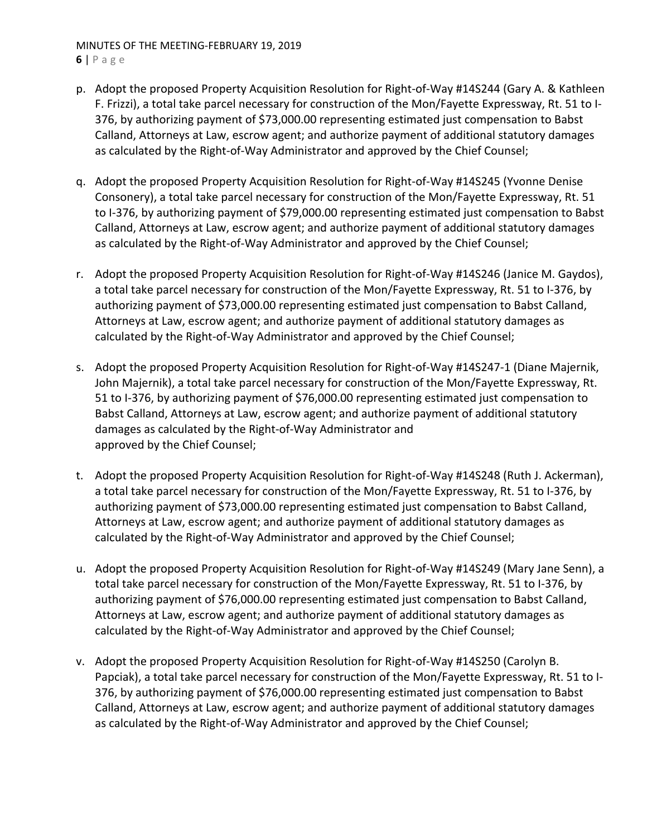# MINUTES OF THE MEETING‐FEBRUARY 19, 2019 **6** | Page

- p. Adopt the proposed Property Acquisition Resolution for Right‐of‐Way #14S244 (Gary A. & Kathleen F. Frizzi), a total take parcel necessary for construction of the Mon/Fayette Expressway, Rt. 51 to I‐ 376, by authorizing payment of \$73,000.00 representing estimated just compensation to Babst Calland, Attorneys at Law, escrow agent; and authorize payment of additional statutory damages as calculated by the Right‐of‐Way Administrator and approved by the Chief Counsel;
- q. Adopt the proposed Property Acquisition Resolution for Right‐of‐Way #14S245 (Yvonne Denise Consonery), a total take parcel necessary for construction of the Mon/Fayette Expressway, Rt. 51 to I-376, by authorizing payment of \$79,000.00 representing estimated just compensation to Babst Calland, Attorneys at Law, escrow agent; and authorize payment of additional statutory damages as calculated by the Right‐of‐Way Administrator and approved by the Chief Counsel;
- r. Adopt the proposed Property Acquisition Resolution for Right‐of‐Way #14S246 (Janice M. Gaydos), a total take parcel necessary for construction of the Mon/Fayette Expressway, Rt. 51 to I‐376, by authorizing payment of \$73,000.00 representing estimated just compensation to Babst Calland, Attorneys at Law, escrow agent; and authorize payment of additional statutory damages as calculated by the Right‐of‐Way Administrator and approved by the Chief Counsel;
- s. Adopt the proposed Property Acquisition Resolution for Right‐of‐Way #14S247‐1 (Diane Majernik, John Majernik), a total take parcel necessary for construction of the Mon/Fayette Expressway, Rt. 51 to I-376, by authorizing payment of \$76,000.00 representing estimated just compensation to Babst Calland, Attorneys at Law, escrow agent; and authorize payment of additional statutory damages as calculated by the Right‐of‐Way Administrator and approved by the Chief Counsel;
- t. Adopt the proposed Property Acquisition Resolution for Right‐of‐Way #14S248 (Ruth J. Ackerman), a total take parcel necessary for construction of the Mon/Fayette Expressway, Rt. 51 to I‐376, by authorizing payment of \$73,000.00 representing estimated just compensation to Babst Calland, Attorneys at Law, escrow agent; and authorize payment of additional statutory damages as calculated by the Right‐of‐Way Administrator and approved by the Chief Counsel;
- u. Adopt the proposed Property Acquisition Resolution for Right‐of‐Way #14S249 (Mary Jane Senn), a total take parcel necessary for construction of the Mon/Fayette Expressway, Rt. 51 to I‐376, by authorizing payment of \$76,000.00 representing estimated just compensation to Babst Calland, Attorneys at Law, escrow agent; and authorize payment of additional statutory damages as calculated by the Right‐of‐Way Administrator and approved by the Chief Counsel;
- v. Adopt the proposed Property Acquisition Resolution for Right‐of‐Way #14S250 (Carolyn B. Papciak), a total take parcel necessary for construction of the Mon/Fayette Expressway, Rt. 51 to I‐ 376, by authorizing payment of \$76,000.00 representing estimated just compensation to Babst Calland, Attorneys at Law, escrow agent; and authorize payment of additional statutory damages as calculated by the Right‐of‐Way Administrator and approved by the Chief Counsel;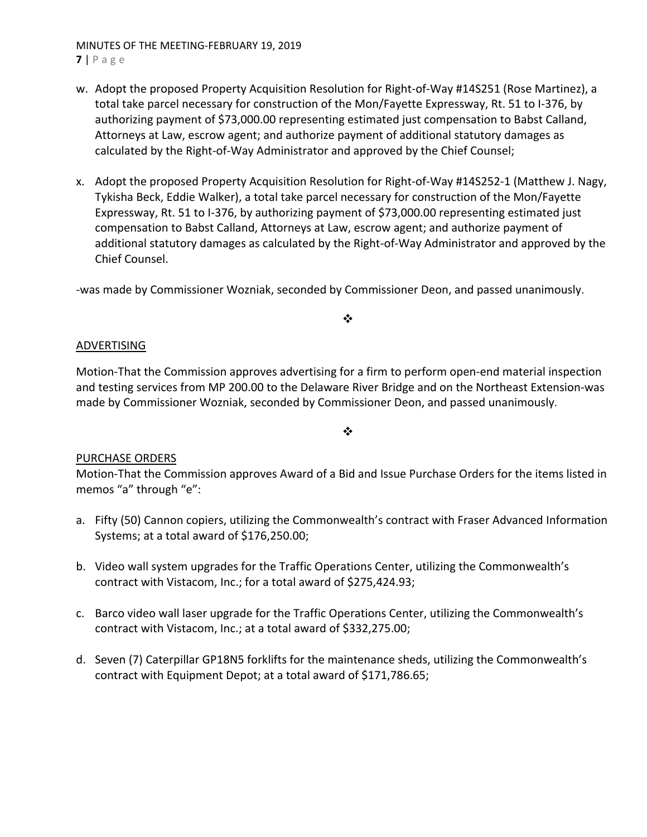#### MINUTES OF THE MEETING‐FEBRUARY 19, 2019 **7** | Page

- w. Adopt the proposed Property Acquisition Resolution for Right‐of‐Way #14S251 (Rose Martinez), a total take parcel necessary for construction of the Mon/Fayette Expressway, Rt. 51 to I‐376, by authorizing payment of \$73,000.00 representing estimated just compensation to Babst Calland, Attorneys at Law, escrow agent; and authorize payment of additional statutory damages as calculated by the Right‐of‐Way Administrator and approved by the Chief Counsel;
- x. Adopt the proposed Property Acquisition Resolution for Right‐of‐Way #14S252‐1 (Matthew J. Nagy, Tykisha Beck, Eddie Walker), a total take parcel necessary for construction of the Mon/Fayette Expressway, Rt. 51 to I‐376, by authorizing payment of \$73,000.00 representing estimated just compensation to Babst Calland, Attorneys at Law, escrow agent; and authorize payment of additional statutory damages as calculated by the Right‐of‐Way Administrator and approved by the Chief Counsel.

‐was made by Commissioner Wozniak, seconded by Commissioner Deon, and passed unanimously.

#### ❖

#### ADVERTISING

Motion‐That the Commission approves advertising for a firm to perform open‐end material inspection and testing services from MP 200.00 to the Delaware River Bridge and on the Northeast Extension‐was made by Commissioner Wozniak, seconded by Commissioner Deon, and passed unanimously.

 $\bullet^{\bullet}_{\bullet} \bullet$ 

## PURCHASE ORDERS

Motion‐That the Commission approves Award of a Bid and Issue Purchase Orders for the items listed in memos "a" through "e":

- a. Fifty (50) Cannon copiers, utilizing the Commonwealth's contract with Fraser Advanced Information Systems; at a total award of \$176,250.00;
- b. Video wall system upgrades for the Traffic Operations Center, utilizing the Commonwealth's contract with Vistacom, Inc.; for a total award of \$275,424.93;
- c. Barco video wall laser upgrade for the Traffic Operations Center, utilizing the Commonwealth's contract with Vistacom, Inc.; at a total award of \$332,275.00;
- d. Seven (7) Caterpillar GP18N5 forklifts for the maintenance sheds, utilizing the Commonwealth's contract with Equipment Depot; at a total award of \$171,786.65;